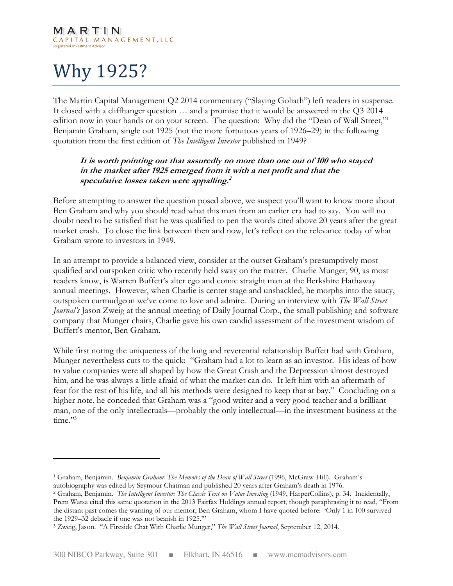# Why 1925?

 $\overline{a}$ 

The Martin Capital Management Q2 2014 commentary ("Slaying Goliath") left readers in suspense. It closed with a cliffhanger question … and a promise that it would be answered in the Q3 2014 edition now in your hands or on your screen. The question: Why did the "Dean of Wall Street," Benjamin Graham, single out 1925 (not the more fortuitous years of 1926–29) in the following quotation from the first edition of The Intelligent Investor published in 1949?

## It is worth pointing out that assuredly no more than one out of 100 who stayed in the market after 1925 emerged from it with a net profit and that the speculative losses taken were appalling. 2

Before attempting to answer the question posed above, we suspect you'll want to know more about Ben Graham and why you should read what this man from an earlier era had to say. You will no doubt need to be satisfied that he was qualified to pen the words cited above 20 years after the great market crash. To close the link between then and now, let's reflect on the relevance today of what Graham wrote to investors in 1949.

In an attempt to provide a balanced view, consider at the outset Graham's presumptively most qualified and outspoken critic who recently held sway on the matter. Charlie Munger, 90, as most readers know, is Warren Buffett's alter ego and comic straight man at the Berkshire Hathaway annual meetings. However, when Charlie is center stage and unshackled, he morphs into the saucy, outspoken curmudgeon we've come to love and admire. During an interview with The Wall Street Journal's Jason Zweig at the annual meeting of Daily Journal Corp., the small publishing and software company that Munger chairs, Charlie gave his own candid assessment of the investment wisdom of Buffett's mentor, Ben Graham.

While first noting the uniqueness of the long and reverential relationship Buffett had with Graham, Munger nevertheless cuts to the quick: "Graham had a lot to learn as an investor. His ideas of how to value companies were all shaped by how the Great Crash and the Depression almost destroyed him, and he was always a little afraid of what the market can do. It left him with an aftermath of fear for the rest of his life, and all his methods were designed to keep that at bay." Concluding on a higher note, he conceded that Graham was a "good writer and a very good teacher and a brilliant man, one of the only intellectuals—probably the only intellectual—in the investment business at the time."<sup>3</sup>

<sup>&</sup>lt;sup>1</sup> Graham, Benjamin. Benjamin Graham: The Memoirs of the Dean of Wall Street (1996, McGraw-Hill). Graham's autobiography was edited by Seymour Chatman and published 20 years after Graham's death in 1976.

<sup>&</sup>lt;sup>2</sup> Graham, Benjamin. The Intelligent Investor: The Classic Text on Value Investing (1949, HarperCollins), p. 34. Incidentally, Prem Watsa cited this same quotation in the 2013 Fairfax Holdings annual report, though paraphrasing it to read, "From the distant past comes the warning of our mentor, Ben Graham, whom I have quoted before: 'Only 1 in 100 survived the 1929–32 debacle if one was not bearish in 1925.'"

<sup>&</sup>lt;sup>3</sup> Zweig, Jason. "A Fireside Chat With Charlie Munger," The Wall Street Journal, September 12, 2014.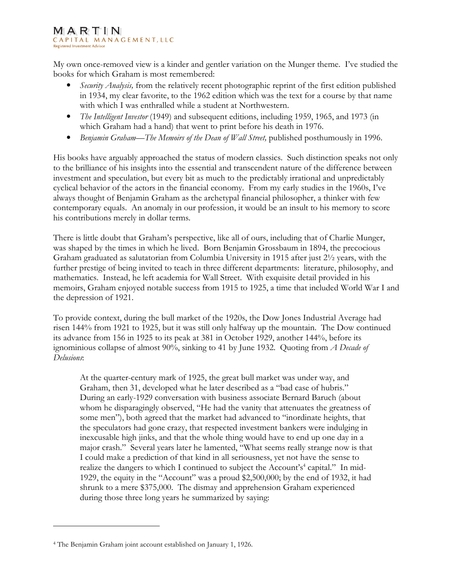#### MARTIN CAPITAL MANAGEMENT, LLC Registered Investment Adviso

My own once-removed view is a kinder and gentler variation on the Munger theme. I've studied the books for which Graham is most remembered:

- Security Analysis, from the relatively recent photographic reprint of the first edition published in 1934, my clear favorite, to the 1962 edition which was the text for a course by that name with which I was enthralled while a student at Northwestern.
- The Intelligent Investor (1949) and subsequent editions, including 1959, 1965, and 1973 (in which Graham had a hand) that went to print before his death in 1976.
- Benjamin Graham—The Memoirs of the Dean of Wall Street, published posthumously in 1996.

His books have arguably approached the status of modern classics. Such distinction speaks not only to the brilliance of his insights into the essential and transcendent nature of the difference between investment and speculation, but every bit as much to the predictably irrational and unpredictably cyclical behavior of the actors in the financial economy. From my early studies in the 1960s, I've always thought of Benjamin Graham as the archetypal financial philosopher, a thinker with few contemporary equals. An anomaly in our profession, it would be an insult to his memory to score his contributions merely in dollar terms.

There is little doubt that Graham's perspective, like all of ours, including that of Charlie Munger, was shaped by the times in which he lived. Born Benjamin Grossbaum in 1894, the precocious Graham graduated as salutatorian from Columbia University in 1915 after just 2½ years, with the further prestige of being invited to teach in three different departments: literature, philosophy, and mathematics. Instead, he left academia for Wall Street. With exquisite detail provided in his memoirs, Graham enjoyed notable success from 1915 to 1925, a time that included World War I and the depression of 1921.

To provide context, during the bull market of the 1920s, the Dow Jones Industrial Average had risen 144% from 1921 to 1925, but it was still only halfway up the mountain. The Dow continued its advance from 156 in 1925 to its peak at 381 in October 1929, another 144%, before its ignominious collapse of almost  $90\%$ , sinking to 41 by June 1932. Quoting from A Decade of Delusions:

At the quarter-century mark of 1925, the great bull market was under way, and Graham, then 31, developed what he later described as a "bad case of hubris." During an early-1929 conversation with business associate Bernard Baruch (about whom he disparagingly observed, "He had the vanity that attenuates the greatness of some men"), both agreed that the market had advanced to "inordinate heights, that the speculators had gone crazy, that respected investment bankers were indulging in inexcusable high jinks, and that the whole thing would have to end up one day in a major crash." Several years later he lamented, "What seems really strange now is that I could make a prediction of that kind in all seriousness, yet not have the sense to realize the dangers to which I continued to subject the Account's<sup>4</sup> capital." In mid-1929, the equity in the "Account" was a proud \$2,500,000; by the end of 1932, it had shrunk to a mere \$375,000. The dismay and apprehension Graham experienced during those three long years he summarized by saying:

<sup>4</sup> The Benjamin Graham joint account established on January 1, 1926.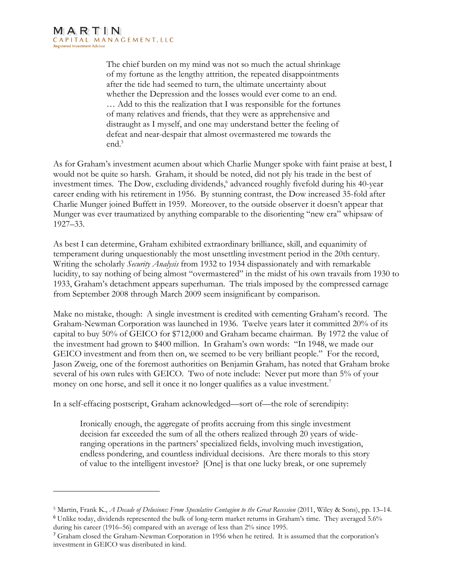l

The chief burden on my mind was not so much the actual shrinkage of my fortune as the lengthy attrition, the repeated disappointments after the tide had seemed to turn, the ultimate uncertainty about whether the Depression and the losses would ever come to an end. … Add to this the realization that I was responsible for the fortunes of many relatives and friends, that they were as apprehensive and distraught as I myself, and one may understand better the feeling of defeat and near-despair that almost overmastered me towards the end.<sup>5</sup>

As for Graham's investment acumen about which Charlie Munger spoke with faint praise at best, I would not be quite so harsh. Graham, it should be noted, did not ply his trade in the best of investment times. The Dow, excluding dividends,<sup>6</sup> advanced roughly fivefold during his 40-year career ending with his retirement in 1956. By stunning contrast, the Dow increased 35-fold after Charlie Munger joined Buffett in 1959. Moreover, to the outside observer it doesn't appear that Munger was ever traumatized by anything comparable to the disorienting "new era" whipsaw of 1927–33.

As best I can determine, Graham exhibited extraordinary brilliance, skill, and equanimity of temperament during unquestionably the most unsettling investment period in the 20th century. Writing the scholarly Security Analysis from 1932 to 1934 dispassionately and with remarkable lucidity, to say nothing of being almost "overmastered" in the midst of his own travails from 1930 to 1933, Graham's detachment appears superhuman. The trials imposed by the compressed carnage from September 2008 through March 2009 seem insignificant by comparison.

Make no mistake, though: A single investment is credited with cementing Graham's record. The Graham-Newman Corporation was launched in 1936. Twelve years later it committed 20% of its capital to buy 50% of GEICO for \$712,000 and Graham became chairman. By 1972 the value of the investment had grown to \$400 million. In Graham's own words: "In 1948, we made our GEICO investment and from then on, we seemed to be very brilliant people." For the record, Jason Zweig, one of the foremost authorities on Benjamin Graham, has noted that Graham broke several of his own rules with GEICO. Two of note include: Never put more than 5% of your money on one horse, and sell it once it no longer qualifies as a value investment.<sup>7</sup>

In a self-effacing postscript, Graham acknowledged—sort of—the role of serendipity:

Ironically enough, the aggregate of profits accruing from this single investment decision far exceeded the sum of all the others realized through 20 years of wideranging operations in the partners' specialized fields, involving much investigation, endless pondering, and countless individual decisions. Are there morals to this story of value to the intelligent investor? [One] is that one lucky break, or one supremely

<sup>&</sup>lt;sup>5</sup> Martin, Frank K., *A Decade of Delusions: From Speculative Contagion to the Great Recession* (2011, Wiley & Sons), pp. 13–14.

<sup>6</sup> Unlike today, dividends represented the bulk of long-term market returns in Graham's time. They averaged 5.6% during his career (1916–56) compared with an average of less than 2% since 1995.

<sup>7</sup> Graham closed the Graham-Newman Corporation in 1956 when he retired. It is assumed that the corporation's investment in GEICO was distributed in kind.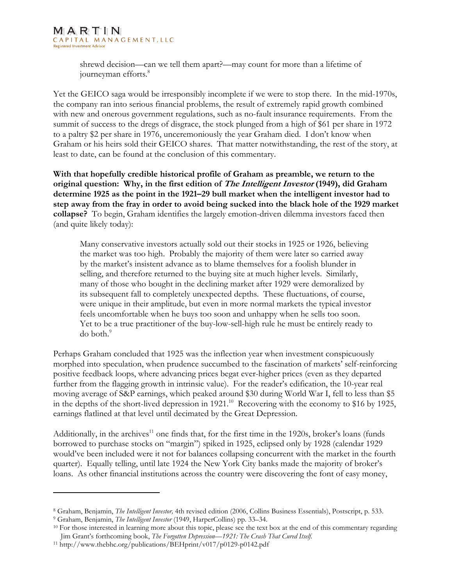shrewd decision—can we tell them apart?—may count for more than a lifetime of journeyman efforts.<sup>8</sup>

Yet the GEICO saga would be irresponsibly incomplete if we were to stop there. In the mid-1970s, the company ran into serious financial problems, the result of extremely rapid growth combined with new and onerous government regulations, such as no-fault insurance requirements. From the summit of success to the dregs of disgrace, the stock plunged from a high of \$61 per share in 1972 to a paltry \$2 per share in 1976, unceremoniously the year Graham died. I don't know when Graham or his heirs sold their GEICO shares. That matter notwithstanding, the rest of the story, at least to date, can be found at the conclusion of this commentary.

With that hopefully credible historical profile of Graham as preamble, we return to the original question: Why, in the first edition of *The Intelligent Investor* (1949), did Graham determine 1925 as the point in the 1921–29 bull market when the intelligent investor had to step away from the fray in order to avoid being sucked into the black hole of the 1929 market collapse? To begin, Graham identifies the largely emotion-driven dilemma investors faced then (and quite likely today):

Many conservative investors actually sold out their stocks in 1925 or 1926, believing the market was too high. Probably the majority of them were later so carried away by the market's insistent advance as to blame themselves for a foolish blunder in selling, and therefore returned to the buying site at much higher levels. Similarly, many of those who bought in the declining market after 1929 were demoralized by its subsequent fall to completely unexpected depths. These fluctuations, of course, were unique in their amplitude, but even in more normal markets the typical investor feels uncomfortable when he buys too soon and unhappy when he sells too soon. Yet to be a true practitioner of the buy-low-sell-high rule he must be entirely ready to do both.<sup>9</sup>

Perhaps Graham concluded that 1925 was the inflection year when investment conspicuously morphed into speculation, when prudence succumbed to the fascination of markets' self-reinforcing positive feedback loops, where advancing prices begat ever-higher prices (even as they departed further from the flagging growth in intrinsic value). For the reader's edification, the 10-year real moving average of S&P earnings, which peaked around \$30 during World War I, fell to less than \$5 in the depths of the short-lived depression in 1921. <sup>10</sup> Recovering with the economy to \$16 by 1925, earnings flatlined at that level until decimated by the Great Depression.

Additionally, in the archives<sup>11</sup> one finds that, for the first time in the 1920s, broker's loans (funds borrowed to purchase stocks on "margin") spiked in 1925, eclipsed only by 1928 (calendar 1929 would've been included were it not for balances collapsing concurrent with the market in the fourth quarter). Equally telling, until late 1924 the New York City banks made the majority of broker's loans. As other financial institutions across the country were discovering the font of easy money,

<sup>&</sup>lt;sup>8</sup> Graham, Benjamin, The Intelligent Investor, 4th revised edition (2006, Collins Business Essentials), Postscript, p. 533.

<sup>&</sup>lt;sup>9</sup> Graham, Benjamin, *The Intelligent Investor* (1949, HarperCollins) pp. 33–34.

<sup>&</sup>lt;sup>10</sup> For those interested in learning more about this topic, please see the text box at the end of this commentary regarding Jim Grant's forthcoming book, The Forgotten Depression-1921: The Crash That Cured Itself.

<sup>11</sup> http://www.thebhc.org/publications/BEHprint/v017/p0129-p0142.pdf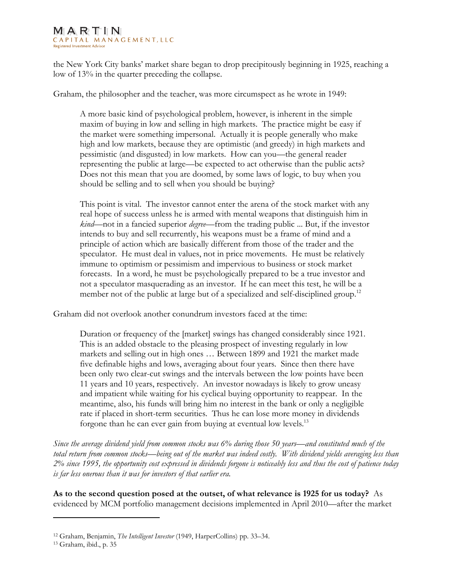#### MARTIN CAPITAL MANAGEMENT, LLC Registered Investment Adviso

the New York City banks' market share began to drop precipitously beginning in 1925, reaching a low of 13% in the quarter preceding the collapse.

Graham, the philosopher and the teacher, was more circumspect as he wrote in 1949:

A more basic kind of psychological problem, however, is inherent in the simple maxim of buying in low and selling in high markets. The practice might be easy if the market were something impersonal. Actually it is people generally who make high and low markets, because they are optimistic (and greedy) in high markets and pessimistic (and disgusted) in low markets. How can you—the general reader representing the public at large—be expected to act otherwise than the public acts? Does not this mean that you are doomed, by some laws of logic, to buy when you should be selling and to sell when you should be buying?

This point is vital. The investor cannot enter the arena of the stock market with any real hope of success unless he is armed with mental weapons that distinguish him in kind—not in a fancied superior *degree*—from the trading public ... But, if the investor intends to buy and sell recurrently, his weapons must be a frame of mind and a principle of action which are basically different from those of the trader and the speculator. He must deal in values, not in price movements. He must be relatively immune to optimism or pessimism and impervious to business or stock market forecasts. In a word, he must be psychologically prepared to be a true investor and not a speculator masquerading as an investor. If he can meet this test, he will be a member not of the public at large but of a specialized and self-disciplined group.<sup>12</sup>

Graham did not overlook another conundrum investors faced at the time:

Duration or frequency of the [market] swings has changed considerably since 1921. This is an added obstacle to the pleasing prospect of investing regularly in low markets and selling out in high ones … Between 1899 and 1921 the market made five definable highs and lows, averaging about four years. Since then there have been only two clear-cut swings and the intervals between the low points have been 11 years and 10 years, respectively. An investor nowadays is likely to grow uneasy and impatient while waiting for his cyclical buying opportunity to reappear. In the meantime, also, his funds will bring him no interest in the bank or only a negligible rate if placed in short-term securities. Thus he can lose more money in dividends forgone than he can ever gain from buying at eventual low levels.<sup>13</sup>

Since the average dividend yield from common stocks was 6% during those 50 years—and constituted much of the total return from common stocks—being out of the market was indeed costly. With dividend yields averaging less than 2% since 1995, the opportunity cost expressed in dividends forgone is noticeably less and thus the cost of patience today is far less onerous than it was for investors of that earlier era.

As to the second question posed at the outset, of what relevance is 1925 for us today? As evidenced by MCM portfolio management decisions implemented in April 2010—after the market

<sup>&</sup>lt;sup>12</sup> Graham, Benjamin, *The Intelligent Investor* (1949, HarperCollins) pp. 33–34.

<sup>13</sup> Graham, ibid., p. 35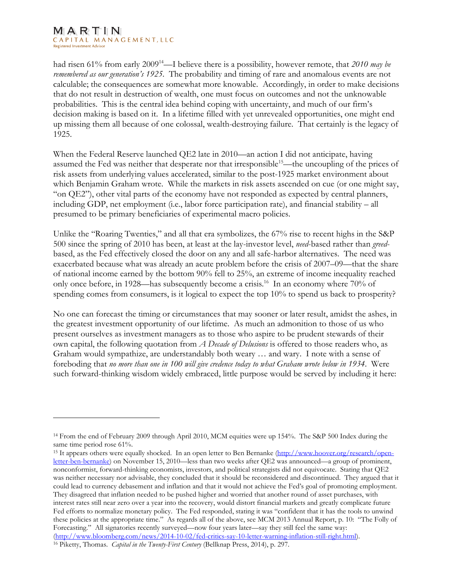#### MARTIN CAPITAL MANAGEMENT, LLC **Registered Investment Advisor**

 $\overline{a}$ 

had risen 61% from early 2009<sup>14</sup>—I believe there is a possibility, however remote, that 2010 may be remembered as our generation's 1925. The probability and timing of rare and anomalous events are not calculable; the consequences are somewhat more knowable. Accordingly, in order to make decisions that do not result in destruction of wealth, one must focus on outcomes and not the unknowable probabilities. This is the central idea behind coping with uncertainty, and much of our firm's decision making is based on it. In a lifetime filled with yet unrevealed opportunities, one might end up missing them all because of one colossal, wealth-destroying failure. That certainly is the legacy of 1925.

When the Federal Reserve launched QE2 late in 2010—an action I did not anticipate, having assumed the Fed was neither that desperate nor that irresponsible<sup>15</sup>—the uncoupling of the prices of risk assets from underlying values accelerated, similar to the post-1925 market environment about which Benjamin Graham wrote. While the markets in risk assets ascended on cue (or one might say, "on QE2"), other vital parts of the economy have not responded as expected by central planners, including GDP, net employment (i.e., labor force participation rate), and financial stability – all presumed to be primary beneficiaries of experimental macro policies.

Unlike the "Roaring Twenties," and all that era symbolizes, the 67% rise to recent highs in the S&P 500 since the spring of 2010 has been, at least at the lay-investor level, need-based rather than greedbased, as the Fed effectively closed the door on any and all safe-harbor alternatives. The need was exacerbated because what was already an acute problem before the crisis of 2007–09—that the share of national income earned by the bottom 90% fell to 25%, an extreme of income inequality reached only once before, in 1928—has subsequently become a crisis.<sup>16</sup> In an economy where 70% of spending comes from consumers, is it logical to expect the top 10% to spend us back to prosperity?

No one can forecast the timing or circumstances that may sooner or later result, amidst the ashes, in the greatest investment opportunity of our lifetime. As much an admonition to those of us who present ourselves as investment managers as to those who aspire to be prudent stewards of their own capital, the following quotation from A Decade of Delusions is offered to those readers who, as Graham would sympathize, are understandably both weary … and wary. I note with a sense of foreboding that no more than one in 100 will give credence today to what Graham wrote below in 1934. Were such forward-thinking wisdom widely embraced, little purpose would be served by including it here:

<sup>14</sup> From the end of February 2009 through April 2010, MCM equities were up 154%. The S&P 500 Index during the same time period rose 61%.

<sup>15</sup> It appears others were equally shocked. In an open letter to Ben Bernanke (http://www.hoover.org/research/openletter-ben-bernanke) on November 15, 2010—less than two weeks after QE2 was announced—a group of prominent, nonconformist, forward-thinking economists, investors, and political strategists did not equivocate. Stating that QE2 was neither necessary nor advisable, they concluded that it should be reconsidered and discontinued. They argued that it could lead to currency debasement and inflation and that it would not achieve the Fed's goal of promoting employment. They disagreed that inflation needed to be pushed higher and worried that another round of asset purchases, with interest rates still near zero over a year into the recovery, would distort financial markets and greatly complicate future Fed efforts to normalize monetary policy. The Fed responded, stating it was "confident that it has the tools to unwind these policies at the appropriate time." As regards all of the above, see MCM 2013 Annual Report, p. 10: "The Folly of Forecasting." All signatories recently surveyed—now four years later—say they still feel the same way: (http://www.bloomberg.com/news/2014-10-02/fed-critics-say-10-letter-warning-inflation-still-right.html).

<sup>&</sup>lt;sup>16</sup> Piketty, Thomas. *Capital in the Twenty-First Century* (Bellknap Press, 2014), p. 297.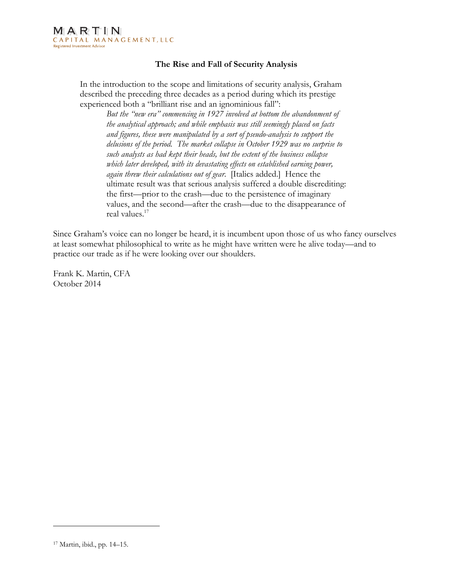## The Rise and Fall of Security Analysis

In the introduction to the scope and limitations of security analysis, Graham described the preceding three decades as a period during which its prestige experienced both a "brilliant rise and an ignominious fall":

But the "new era" commencing in 1927 involved at bottom the abandonment of the analytical approach; and while emphasis was still seemingly placed on facts and figures, these were manipulated by a sort of pseudo-analysis to support the delusions of the period. The market collapse in October 1929 was no surprise to such analysts as had kept their heads, but the extent of the business collapse which later developed, with its devastating effects on established earning power, again threw their calculations out of gear. [Italics added.] Hence the ultimate result was that serious analysis suffered a double discrediting: the first—prior to the crash—due to the persistence of imaginary values, and the second—after the crash—due to the disappearance of real values.<sup>17</sup>

Since Graham's voice can no longer be heard, it is incumbent upon those of us who fancy ourselves at least somewhat philosophical to write as he might have written were he alive today—and to practice our trade as if he were looking over our shoulders.

Frank K. Martin, CFA October 2014

<sup>17</sup> Martin, ibid., pp. 14–15.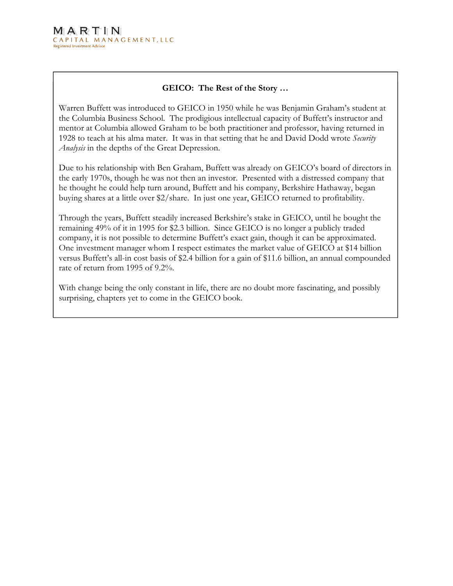# GEICO: The Rest of the Story …

the Columbia Business School. The prodigious intellectual capacity of Buffett's instructor and mentor at Columbia allowed Graham to be both practitioner and professor, having returned in 1928 to teach at his alma mater. It was in that setting that he and David Dodd wrote Security Analysis in the depths of the Great Depression. Warren Buffett was introduced to GEICO in 1950 while he was Benjamin Graham's student at

the early 1970s, though he was not then an investor. Presented with a distressed company that he thought he could help turn around, Buffett and his company, Berkshire Hathaway, began buying shares at a little over \$2/share. In just one year, GEICO returned to profitability. Due to his relationship with Ben Graham, Buffett was already on GEICO's board of directors in

remaining 49% of it in 1995 for \$2.3 billion. Since GEICO is no longer a publicly traded company, it is not possible to determine Buffett's exact gain, though it can be approximated. One investment manager whom I respect estimates the market value of GEICO at \$14 billion versus Buffett's all-in cost basis of \$2.4 billion for a gain of \$11.6 billion, an annual compounded rate of return from 1995 of  $9.2\%$ . Through the years, Buffett steadily increased Berkshire's stake in GEICO, until he bought the

surprising, chapters yet to come in the GEICO book. With change being the only constant in life, there are no doubt more fascinating, and possibly